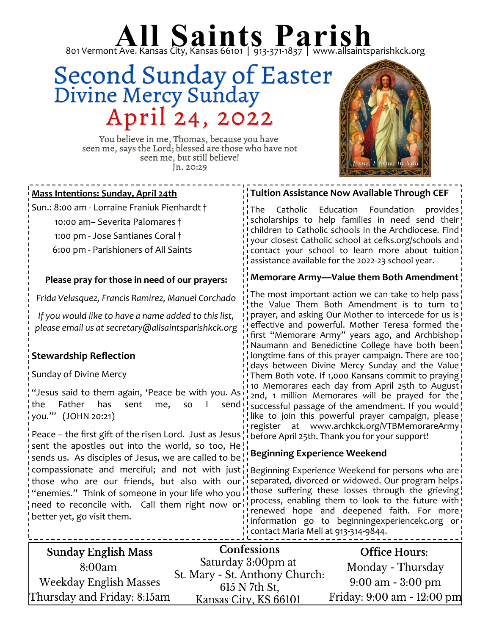# 801 Vermont Ave. Kansas City, Kansas 66101 | 913-371-1837 | www.allsaintsparishkck.org

### Second Sunday of Easter<br>Divine Mercy Sunday April 24, 2022



You believe in me, Thomas, because you have seen me, says the Lord; blessed are those who have not seen me, but still believe! Jn. 20:29

#### **Mass Intentions: Sunday, April 24th**

Sun.: 8:00 am - Lorraine Franiuk Pienhardt †

10:00 am– Severita Palomares †

1:00 pm - Jose Santianes Coral †

6:00 pm - Parishioners of All Saints

#### **Please pray for those in need of our prayers:**

*Frida Velasquez, Francis Ramirez, Manuel Corchado*

*If you would like to have a name added to this list, please email us at secretary@allsaintsparishkck.org*

#### **Stewardship Reflection**

Sunday of Divine Mercy

"Jesus said to them again, 'Peace be with you. As the Father has sent me, so I send you.'" (JOHN 20:21)

Peace – the first gift of the risen Lord. Just as Jesus sent the apostles out into the world, so too, He sends us. As disciples of Jesus, we are called to be compassionate and merciful; and not with just those who are our friends, but also with our "enemies." Think of someone in your life who you need to reconcile with. Call them right now or better yet, go visit them.

#### **Tuition Assistance Now Available Through CEF**

The Catholic Education Foundation provides scholarships to help families in need send their children to Catholic schools in the Archdiocese. Find your closest Catholic school at cefks.org/schools and contact your school to learn more about tuition assistance available for the 2022-23 school year.

#### **Memorare Army—Value them Both Amendment**

The most important action we can take to help pass the Value Them Both Amendment is to turn to prayer, and asking Our Mother to intercede for us is effective and powerful. Mother Teresa formed the first "Memorare Army" years ago, and Archbishop Naumann and Benedictine College have both been longtime fans of this prayer campaign. There are 100 days between Divine Mercy Sunday and the Value! Them Both vote. If 1,000 Kansans commit to praying 10 Memorares each day from April 25th to August  $\frac{1}{2}$  2nd, 1 million Memorares will be prayed for the successful passage of the amendment. If you would! like to join this powerful prayer campaign, please! register at www.archkck.org/VTBMemorareArmy before April 25th. Thank you for your support!

#### **Beginning Experience Weekend**

Beginning Experience Weekend for persons who are i separated, divorced or widowed. Our program helps i those suffering these losses through the grieving process, enabling them to look to the future with renewed hope and deepened faith. For more information go to beginningexperiencekc.org or contact Maria Meli at 913-314-9844.

| <b>Sunday English Mass</b>  | <b>Confessions</b>                                   | <b>Office Hours:</b>                |
|-----------------------------|------------------------------------------------------|-------------------------------------|
| 8:00am                      | Saturday 3:00pm at<br>St. Mary - St. Anthony Church: | Monday - Thursday                   |
| Weekday English Masses      | 615 N 7th St.                                        | $9:00 \text{ am} - 3:00 \text{ pm}$ |
| Thursday and Friday: 8:15am | Kansas City, KS 66101                                | Friday: 9:00 am - 12:00 pm          |